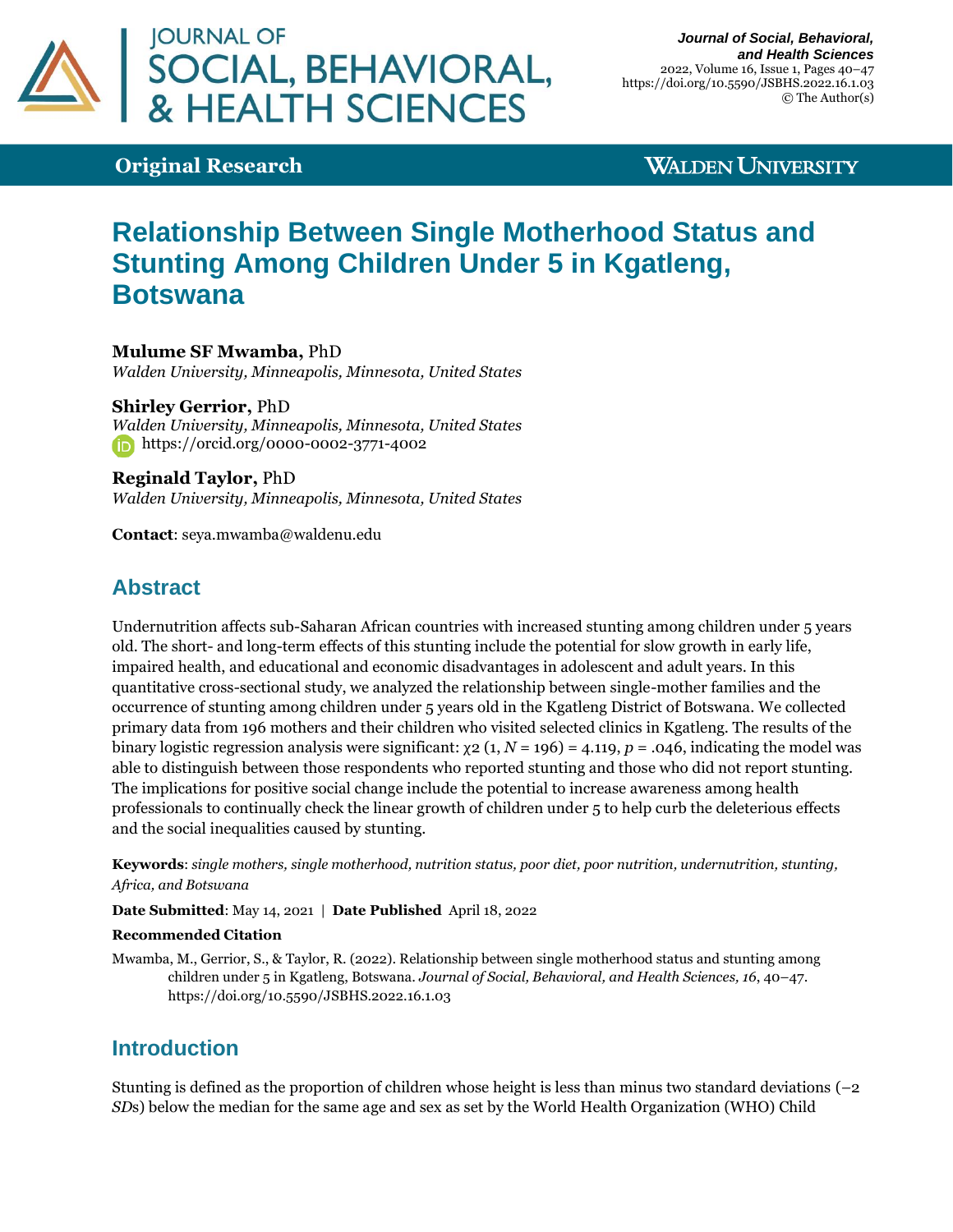

**Original Research**

### **WALDEN UNIVERSITY**

# **Relationship Between Single Motherhood Status and Stunting Among Children Under 5 in Kgatleng, Botswana**

**Mulume SF Mwamba,** PhD

*Walden University, Minneapolis, Minnesota, United States*

**Shirley Gerrior,** PhD *Walden University, Minneapolis, Minnesota, United States* <https://orcid.org/0000-0002-3771-4002>

**Reginald Taylor,** PhD *Walden University, Minneapolis, Minnesota, United States*

**Contact**: [seya.mwamba@waldenu.edu](mailto:seya.mwamba@waldenu.edu)

# **Abstract**

Undernutrition affects sub-Saharan African countries with increased stunting among children under 5 years old. The short- and long-term effects of this stunting include the potential for slow growth in early life, impaired health, and educational and economic disadvantages in adolescent and adult years. In this quantitative cross-sectional study, we analyzed the relationship between single-mother families and the occurrence of stunting among children under 5 years old in the Kgatleng District of Botswana. We collected primary data from 196 mothers and their children who visited selected clinics in Kgatleng. The results of the binary logistic regression analysis were significant:  $χ$ 2 (1,  $N$  = 196) = 4.119,  $p$  = .046, indicating the model was able to distinguish between those respondents who reported stunting and those who did not report stunting. The implications for positive social change include the potential to increase awareness among health professionals to continually check the linear growth of children under 5 to help curb the deleterious effects and the social inequalities caused by stunting.

**Keywords**: *single mothers, single motherhood, nutrition status, poor diet, poor nutrition, undernutrition, stunting, Africa, and Botswana*

**Date Submitted**: May 14, 2021 | **Date Published** April 18, 2022

#### **Recommended Citation**

Mwamba, M., Gerrior, S., & Taylor, R. (2022). Relationship between single motherhood status and stunting among children under 5 in Kgatleng, Botswana. *Journal of Social, Behavioral, and Health Sciences, 16*, 40–47. <https://doi.org/10.5590/JSBHS.2022.16.1.03>

## **Introduction**

Stunting is defined as the proportion of children whose height is less than minus two standard deviations (–2 *SD*s) below the median for the same age and sex as set by the World Health Organization (WHO) Child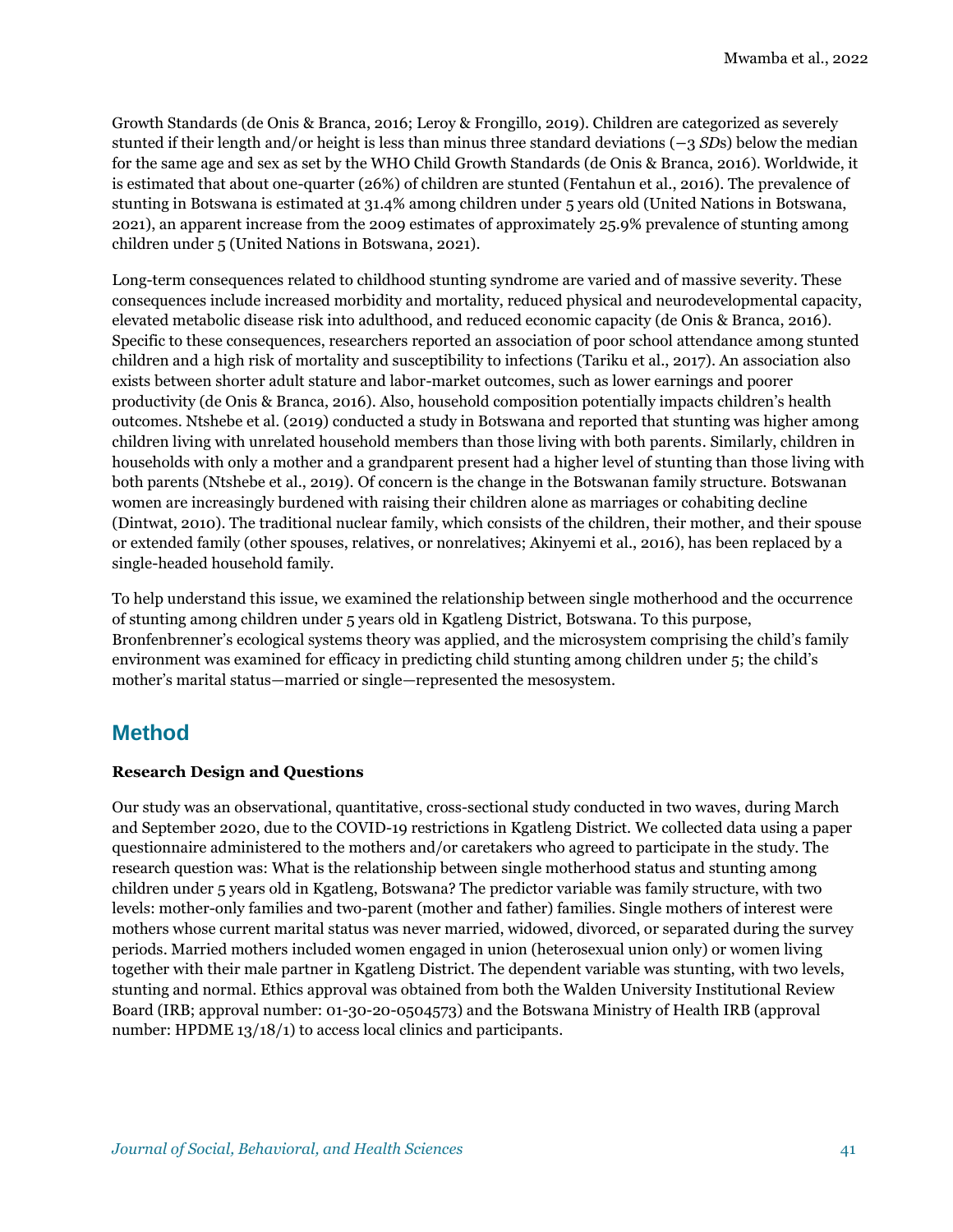Growth Standards (de Onis & Branca, 2016; Leroy & Frongillo, 2019). Children are categorized as severely stunted if their length and/or height is less than minus three standard deviations (−3 *SD*s) below the median for the same age and sex as set by the WHO Child Growth Standards (de Onis & Branca, 2016). Worldwide, it is estimated that about one-quarter (26%) of children are stunted (Fentahun et al., 2016). The prevalence of stunting in Botswana is estimated at 31.4% among children under 5 years old (United Nations in Botswana, 2021), an apparent increase from the 2009 estimates of approximately 25.9% prevalence of stunting among children under 5 (United Nations in Botswana, 2021).

Long-term consequences related to childhood stunting syndrome are varied and of massive severity. These consequences include increased morbidity and mortality, reduced physical and neurodevelopmental capacity, elevated metabolic disease risk into adulthood, and reduced economic capacity (de Onis & Branca, 2016). Specific to these consequences, researchers reported an association of poor school attendance among stunted children and a high risk of mortality and susceptibility to infections (Tariku et al., 2017). An association also exists between shorter adult stature and labor-market outcomes, such as lower earnings and poorer productivity (de Onis & Branca, 2016). Also, household composition potentially impacts children's health outcomes. Ntshebe et al. (2019) conducted a study in Botswana and reported that stunting was higher among children living with unrelated household members than those living with both parents. Similarly, children in households with only a mother and a grandparent present had a higher level of stunting than those living with both parents (Ntshebe et al., 2019). Of concern is the change in the Botswanan family structure. Botswanan women are increasingly burdened with raising their children alone as marriages or cohabiting decline (Dintwat, 2010). The traditional nuclear family, which consists of the children, their mother, and their spouse or extended family (other spouses, relatives, or nonrelatives; Akinyemi et al., 2016), has been replaced by a single-headed household family.

To help understand this issue, we examined the relationship between single motherhood and the occurrence of stunting among children under 5 years old in Kgatleng District, Botswana. To this purpose, Bronfenbrenner's ecological systems theory was applied, and the microsystem comprising the child's family environment was examined for efficacy in predicting child stunting among children under 5; the child's mother's marital status—married or single—represented the mesosystem.

## **Method**

### **Research Design and Questions**

Our study was an observational, quantitative, cross-sectional study conducted in two waves, during March and September 2020, due to the COVID-19 restrictions in Kgatleng District. We collected data using a paper questionnaire administered to the mothers and/or caretakers who agreed to participate in the study. The research question was: What is the relationship between single motherhood status and stunting among children under 5 years old in Kgatleng, Botswana? The predictor variable was family structure, with two levels: mother-only families and two-parent (mother and father) families. Single mothers of interest were mothers whose current marital status was never married, widowed, divorced, or separated during the survey periods. Married mothers included women engaged in union (heterosexual union only) or women living together with their male partner in Kgatleng District. The dependent variable was stunting, with two levels, stunting and normal. Ethics approval was obtained from both the Walden University Institutional Review Board (IRB; approval number: 01-30-20-0504573) and the Botswana Ministry of Health IRB (approval number: HPDME 13/18/1) to access local clinics and participants.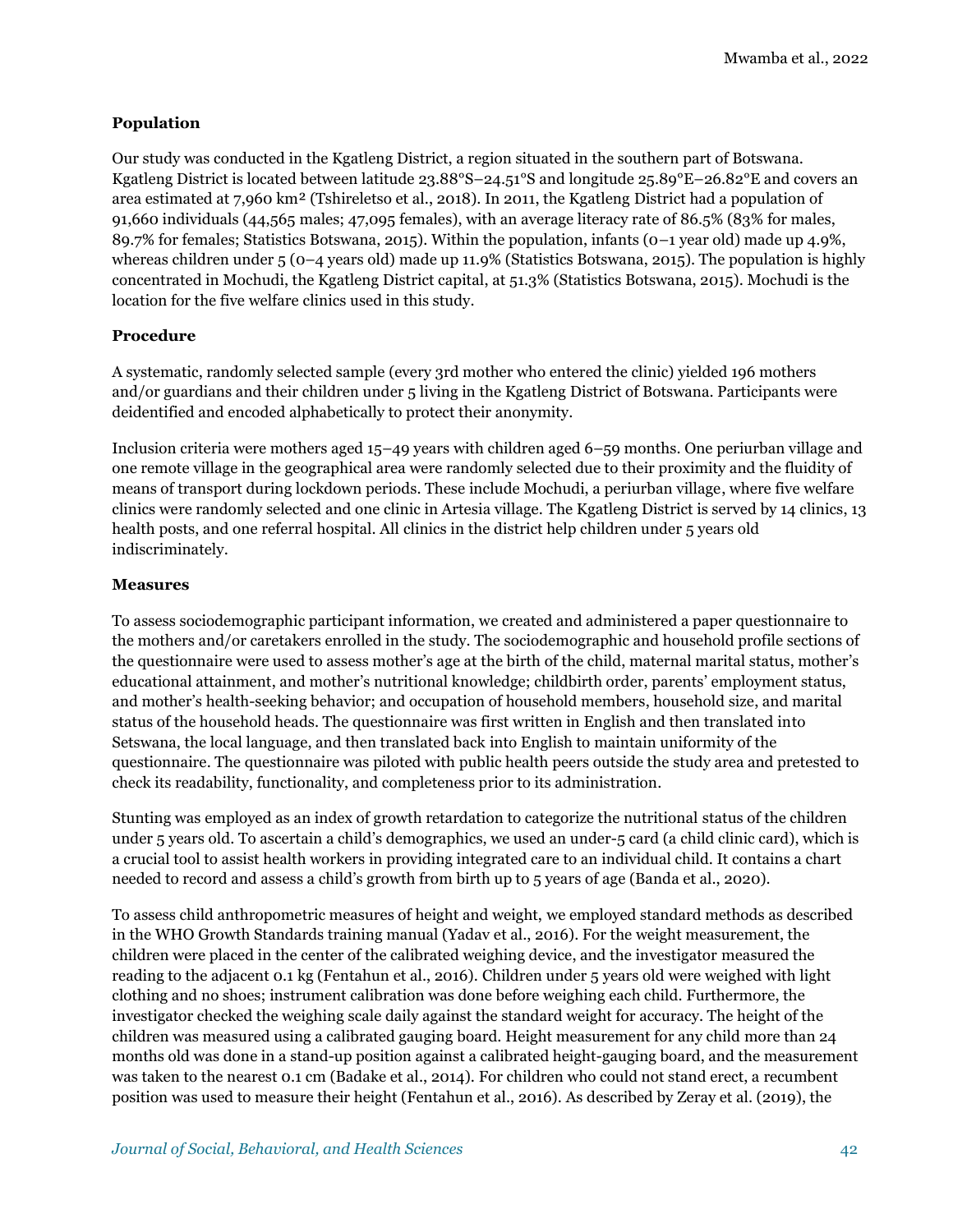### **Population**

Our study was conducted in the Kgatleng District, a region situated in the southern part of Botswana. Kgatleng District is located between latitude 23.88°S–24.51°S and longitude 25.89°E–26.82°E and covers an area estimated at 7,960 km² (Tshireletso et al., 2018). In 2011, the Kgatleng District had a population of 91,660 individuals (44,565 males; 47,095 females), with an average literacy rate of 86.5% (83% for males, 89.7% for females; Statistics Botswana, 2015). Within the population, infants (0–1 year old) made up 4.9%, whereas children under  $5(0-4)$  years old) made up 11.9% (Statistics Botswana, 2015). The population is highly concentrated in Mochudi, the Kgatleng District capital, at 51.3% (Statistics Botswana, 2015). Mochudi is the location for the five welfare clinics used in this study.

### **Procedure**

A systematic, randomly selected sample (every 3rd mother who entered the clinic) yielded 196 mothers and/or guardians and their children under 5 living in the Kgatleng District of Botswana. Participants were deidentified and encoded alphabetically to protect their anonymity.

Inclusion criteria were mothers aged 15–49 years with children aged 6–59 months. One periurban village and one remote village in the geographical area were randomly selected due to their proximity and the fluidity of means of transport during lockdown periods. These include Mochudi, a periurban village, where five welfare clinics were randomly selected and one clinic in Artesia village. The Kgatleng District is served by 14 clinics, 13 health posts, and one referral hospital. All clinics in the district help children under 5 years old indiscriminately.

### **Measures**

To assess sociodemographic participant information, we created and administered a paper questionnaire to the mothers and/or caretakers enrolled in the study. The sociodemographic and household profile sections of the questionnaire were used to assess mother's age at the birth of the child, maternal marital status, mother's educational attainment, and mother's nutritional knowledge; childbirth order, parents' employment status, and mother's health-seeking behavior; and occupation of household members, household size, and marital status of the household heads. The questionnaire was first written in English and then translated into Setswana, the local language, and then translated back into English to maintain uniformity of the questionnaire. The questionnaire was piloted with public health peers outside the study area and pretested to check its readability, functionality, and completeness prior to its administration.

Stunting was employed as an index of growth retardation to categorize the nutritional status of the children under 5 years old. To ascertain a child's demographics, we used an under-5 card (a child clinic card), which is a crucial tool to assist health workers in providing integrated care to an individual child. It contains a chart needed to record and assess a child's growth from birth up to 5 years of age (Banda et al., 2020).

To assess child anthropometric measures of height and weight, we employed standard methods as described in the WHO Growth Standards training manual (Yadav et al., 2016). For the weight measurement, the children were placed in the center of the calibrated weighing device, and the investigator measured the reading to the adjacent 0.1 kg (Fentahun et al., 2016). Children under 5 years old were weighed with light clothing and no shoes; instrument calibration was done before weighing each child. Furthermore, the investigator checked the weighing scale daily against the standard weight for accuracy. The height of the children was measured using a calibrated gauging board. Height measurement for any child more than 24 months old was done in a stand-up position against a calibrated height-gauging board, and the measurement was taken to the nearest 0.1 cm (Badake et al., 2014). For children who could not stand erect, a recumbent position was used to measure their height (Fentahun et al., 2016). As described by Zeray et al. (2019), the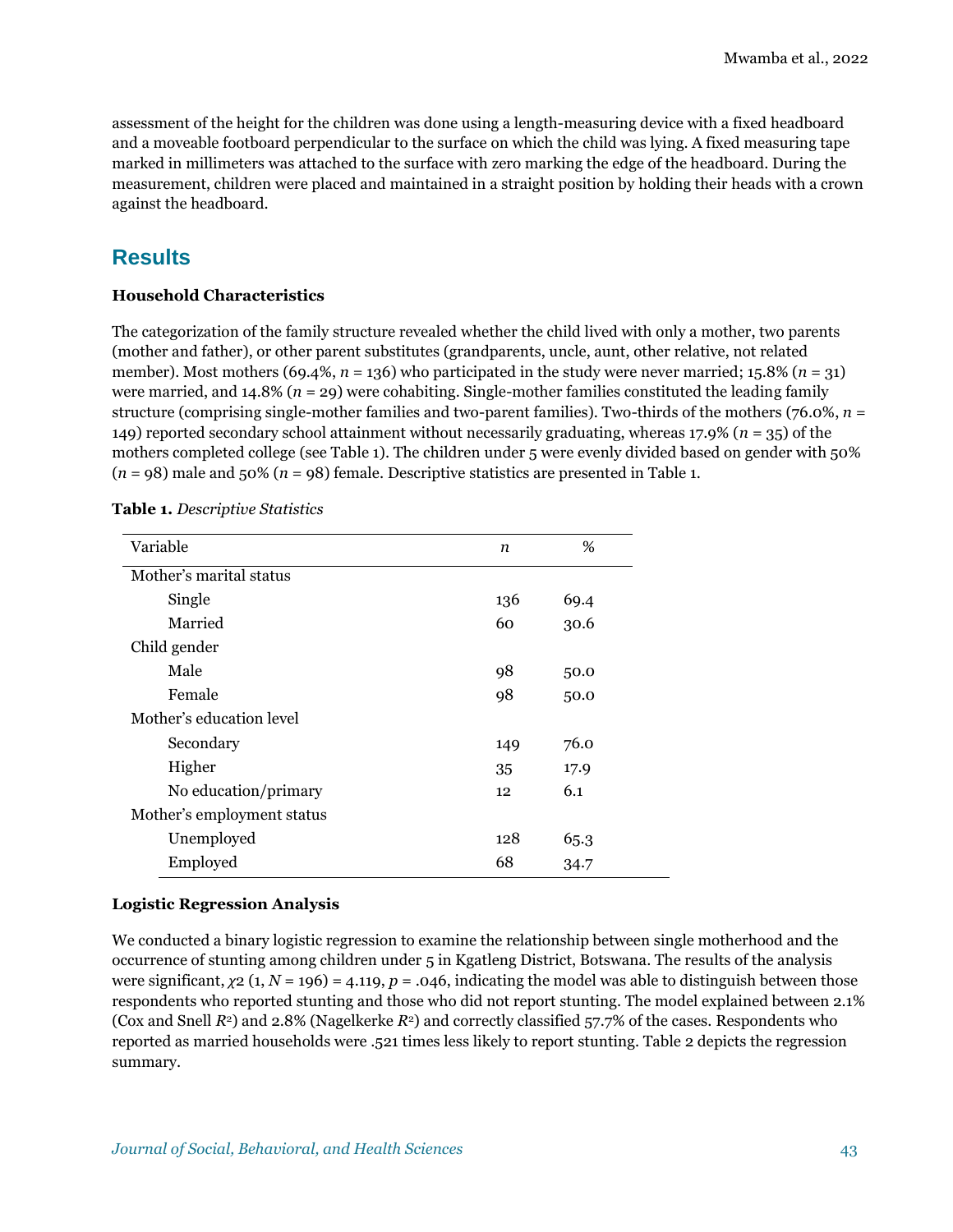assessment of the height for the children was done using a length-measuring device with a fixed headboard and a moveable footboard perpendicular to the surface on which the child was lying. A fixed measuring tape marked in millimeters was attached to the surface with zero marking the edge of the headboard. During the measurement, children were placed and maintained in a straight position by holding their heads with a crown against the headboard.

# **Results**

### **Household Characteristics**

The categorization of the family structure revealed whether the child lived with only a mother, two parents (mother and father), or other parent substitutes (grandparents, uncle, aunt, other relative, not related member). Most mothers (69.4%, *n* = 136) who participated in the study were never married; 15.8% (*n* = 31) were married, and 14.8% (*n* = 29) were cohabiting. Single-mother families constituted the leading family structure (comprising single-mother families and two-parent families). Two-thirds of the mothers (76.0%, *n* = 149) reported secondary school attainment without necessarily graduating, whereas 17.9% (*n* = 35) of the mothers completed college (see Table 1). The children under 5 were evenly divided based on gender with 50%  $(n = 98)$  male and 50%  $(n = 98)$  female. Descriptive statistics are presented in Table 1.

| Variable                   | n   | %    |
|----------------------------|-----|------|
| Mother's marital status    |     |      |
| Single                     | 136 | 69.4 |
| Married                    | 60  | 30.6 |
| Child gender               |     |      |
| Male                       | 98  | 50.0 |
| Female                     | 98  | 50.0 |
| Mother's education level   |     |      |
| Secondary                  | 149 | 76.0 |
| Higher                     | 35  | 17.9 |
| No education/primary       | 12  | 6.1  |
| Mother's employment status |     |      |
| Unemployed                 | 128 | 65.3 |
| Employed                   | 68  | 34.7 |

**Table 1.** *Descriptive Statistics*

### **Logistic Regression Analysis**

We conducted a binary logistic regression to examine the relationship between single motherhood and the occurrence of stunting among children under 5 in Kgatleng District, Botswana. The results of the analysis were significant,  $\chi$ 2 (1, *N* = 196) = 4.119, *p* = .046, indicating the model was able to distinguish between those respondents who reported stunting and those who did not report stunting. The model explained between 2.1% (Cox and Snell *R*2) and 2.8% (Nagelkerke *R*2) and correctly classified 57.7% of the cases. Respondents who reported as married households were .521 times less likely to report stunting. Table 2 depicts the regression summary.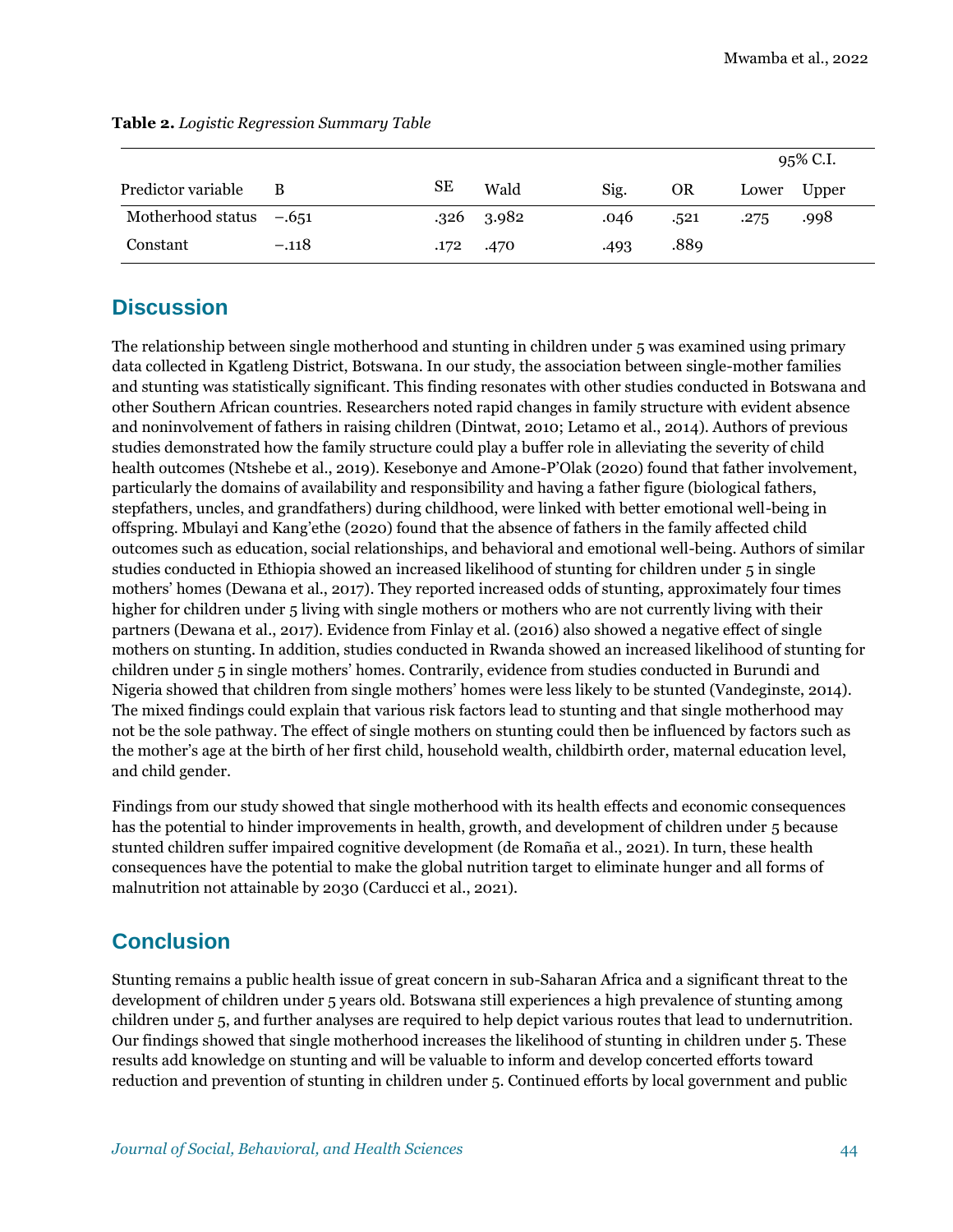|                           |         |    |                |      |      | 95% C.I. |       |
|---------------------------|---------|----|----------------|------|------|----------|-------|
| Predictor variable        | В       | SЕ | Wald           | Sig. | OR   | Lower    | Upper |
| Motherhood status $-.651$ |         |    | $.326$ $.3982$ | .046 | .521 | .275     | .998  |
| Constant                  | $-.118$ |    | .172 .470      | .493 | .889 |          |       |

#### **Table 2.** *Logistic Regression Summary Table*

# **Discussion**

The relationship between single motherhood and stunting in children under 5 was examined using primary data collected in Kgatleng District, Botswana. In our study, the association between single-mother families and stunting was statistically significant. This finding resonates with other studies conducted in Botswana and other Southern African countries. Researchers noted rapid changes in family structure with evident absence and noninvolvement of fathers in raising children (Dintwat, 2010; Letamo et al., 2014). Authors of previous studies demonstrated how the family structure could play a buffer role in alleviating the severity of child health outcomes (Ntshebe et al., 2019). Kesebonye and Amone-P'Olak (2020) found that father involvement, particularly the domains of availability and responsibility and having a father figure (biological fathers, stepfathers, uncles, and grandfathers) during childhood, were linked with better emotional well-being in offspring. Mbulayi and Kang'ethe (2020) found that the absence of fathers in the family affected child outcomes such as education, social relationships, and behavioral and emotional well-being. Authors of similar studies conducted in Ethiopia showed an increased likelihood of stunting for children under 5 in single mothers' homes (Dewana et al., 2017). They reported increased odds of stunting, approximately four times higher for children under 5 living with single mothers or mothers who are not currently living with their partners (Dewana et al., 2017). Evidence from Finlay et al. (2016) also showed a negative effect of single mothers on stunting. In addition, studies conducted in Rwanda showed an increased likelihood of stunting for children under 5 in single mothers' homes. Contrarily, evidence from studies conducted in Burundi and Nigeria showed that children from single mothers' homes were less likely to be stunted (Vandeginste, 2014). The mixed findings could explain that various risk factors lead to stunting and that single motherhood may not be the sole pathway. The effect of single mothers on stunting could then be influenced by factors such as the mother's age at the birth of her first child, household wealth, childbirth order, maternal education level, and child gender.

Findings from our study showed that single motherhood with its health effects and economic consequences has the potential to hinder improvements in health, growth, and development of children under 5 because stunted children suffer impaired cognitive development (de Romaña et al., 2021). In turn, these health consequences have the potential to make the global nutrition target to eliminate hunger and all forms of malnutrition not attainable by 2030 (Carducci et al., 2021).

# **Conclusion**

Stunting remains a public health issue of great concern in sub-Saharan Africa and a significant threat to the development of children under 5 years old. Botswana still experiences a high prevalence of stunting among children under 5, and further analyses are required to help depict various routes that lead to undernutrition. Our findings showed that single motherhood increases the likelihood of stunting in children under 5. These results add knowledge on stunting and will be valuable to inform and develop concerted efforts toward reduction and prevention of stunting in children under 5. Continued efforts by local government and public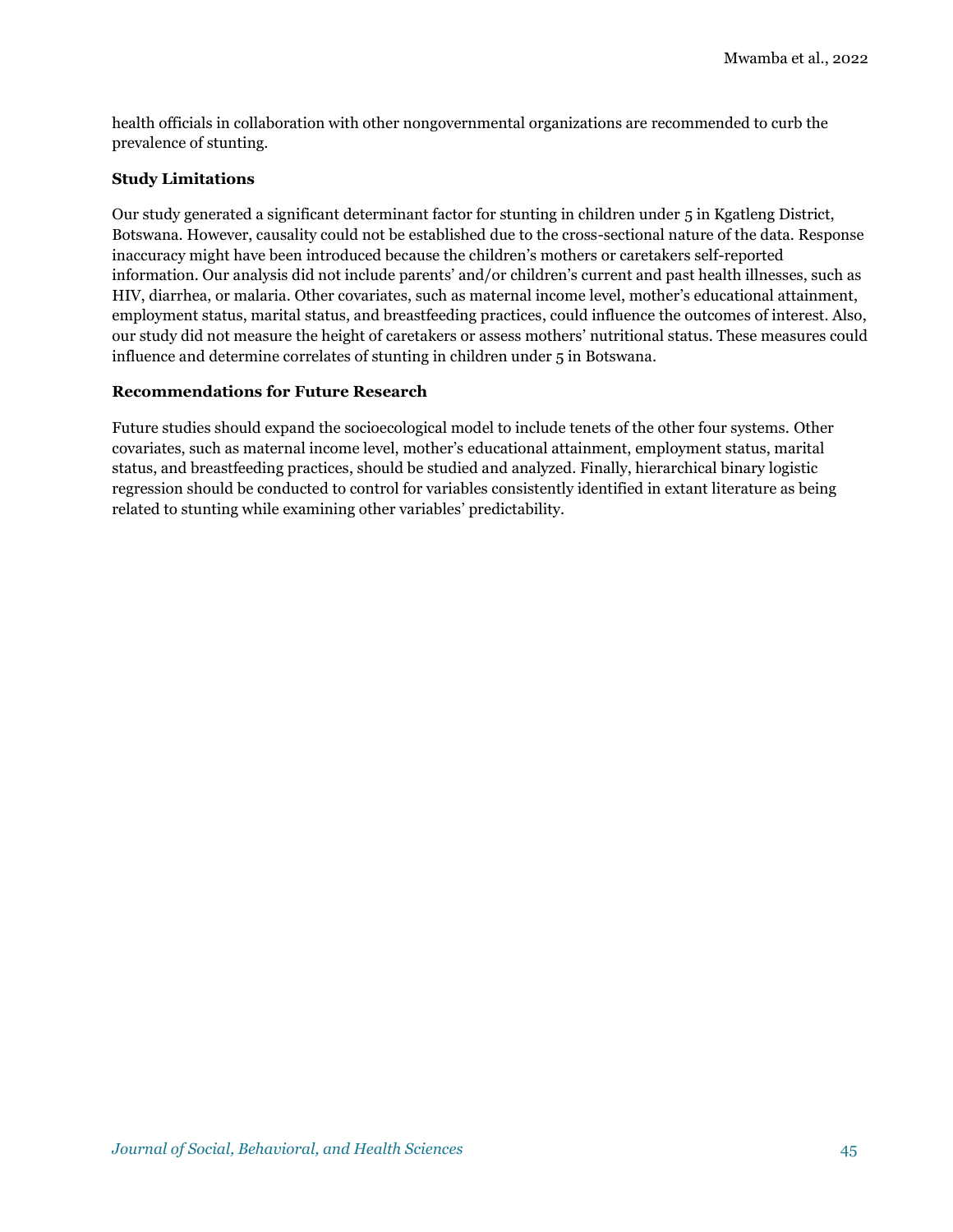health officials in collaboration with other nongovernmental organizations are recommended to curb the prevalence of stunting.

#### **Study Limitations**

Our study generated a significant determinant factor for stunting in children under 5 in Kgatleng District, Botswana. However, causality could not be established due to the cross-sectional nature of the data. Response inaccuracy might have been introduced because the children's mothers or caretakers self-reported information. Our analysis did not include parents' and/or children's current and past health illnesses, such as HIV, diarrhea, or malaria. Other covariates, such as maternal income level, mother's educational attainment, employment status, marital status, and breastfeeding practices, could influence the outcomes of interest. Also, our study did not measure the height of caretakers or assess mothers' nutritional status. These measures could influence and determine correlates of stunting in children under 5 in Botswana.

#### **Recommendations for Future Research**

Future studies should expand the socioecological model to include tenets of the other four systems. Other covariates, such as maternal income level, mother's educational attainment, employment status, marital status, and breastfeeding practices, should be studied and analyzed. Finally, hierarchical binary logistic regression should be conducted to control for variables consistently identified in extant literature as being related to stunting while examining other variables' predictability.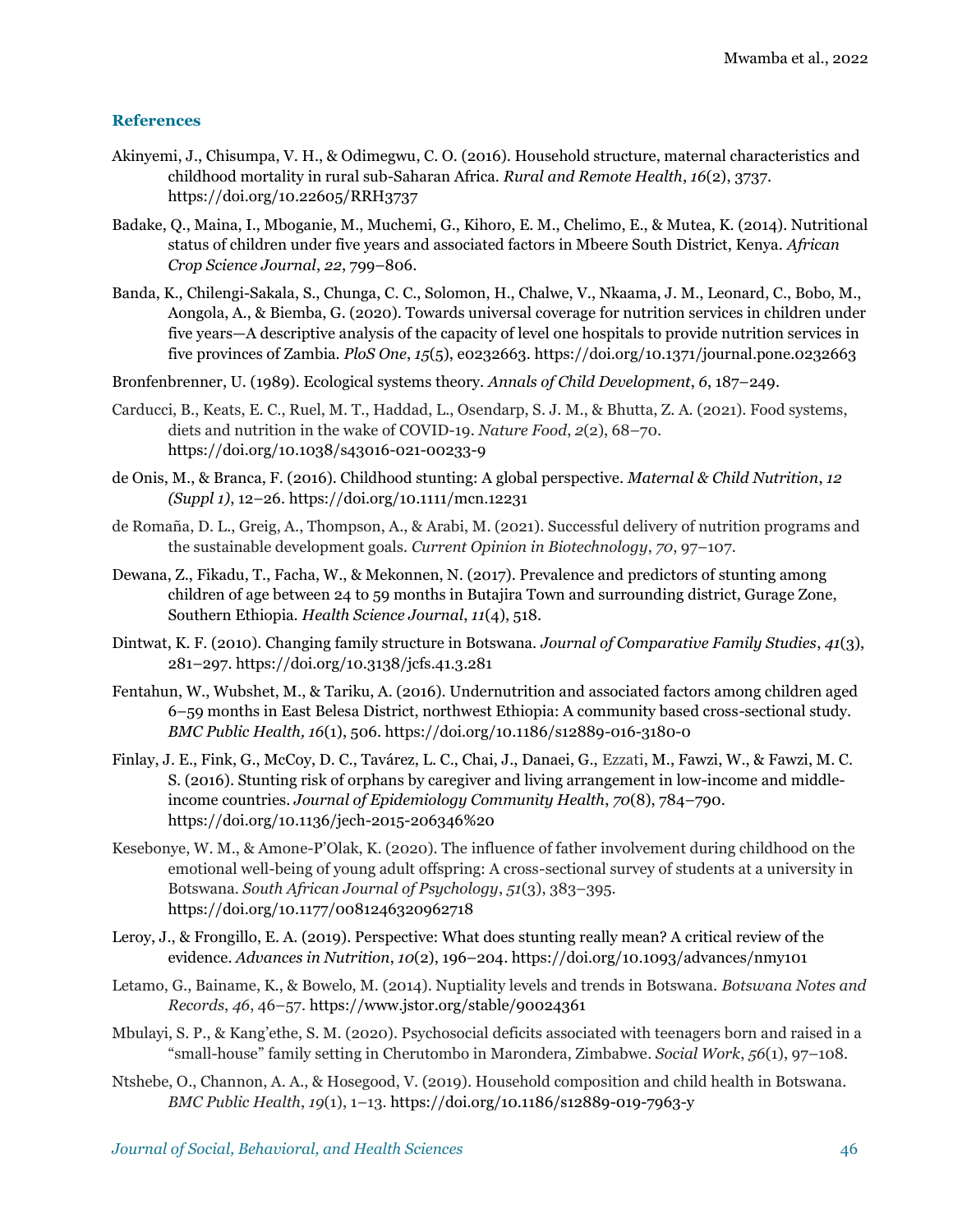#### **References**

- Akinyemi, J., Chisumpa, V. H., & Odimegwu, C. O. (2016). Household structure, maternal characteristics and childhood mortality in rural sub-Saharan Africa. *Rural and Remote Health*, *16*(2), 3737. <https://doi.org/10.22605/RRH3737>
- Badake, Q., Maina, I., Mboganie, M., Muchemi, G., Kihoro, E. M., Chelimo, E., & Mutea, K. (2014). Nutritional status of children under five years and associated factors in Mbeere South District, Kenya. *African Crop Science Journal*, *22*, 799–806.
- Banda, K., Chilengi-Sakala, S., Chunga, C. C., Solomon, H., Chalwe, V., Nkaama, J. M., Leonard, C., Bobo, M., Aongola, A., & Biemba, G. (2020). Towards universal coverage for nutrition services in children under five years—A descriptive analysis of the capacity of level one hospitals to provide nutrition services in five provinces of Zambia. *PloS One*, *15*(5), e0232663[. https://doi.org/10.1371/journal.pone.0232663](https://doi.org/10.1371/journal.pone.0232663)
- Bronfenbrenner, U. (1989). Ecological systems theory. *Annals of Child Development*, *6*, 187–249.
- Carducci, B., Keats, E. C., Ruel, M. T., Haddad, L., Osendarp, S. J. M., & Bhutta, Z. A. (2021). Food systems, diets and nutrition in the wake of COVID-19. *Nature Food*, *2*(2), 68–70. <https://doi.org/10.1038/s43016-021-00233-9>
- de Onis, M., & Branca, F. (2016). Childhood stunting: A global perspective. *Maternal & Child Nutrition*, *12 (Suppl 1)*, 12–26.<https://doi.org/10.1111/mcn.12231>
- de Romaña, D. L., Greig, A., Thompson, A., & Arabi, M. (2021). Successful delivery of nutrition programs and the sustainable development goals. *Current Opinion in Biotechnology*, *70*, 97–107.
- Dewana, Z., Fikadu, T., Facha, W., & Mekonnen, N. (2017). Prevalence and predictors of stunting among children of age between 24 to 59 months in Butajira Town and surrounding district, Gurage Zone, Southern Ethiopia. *Health Science Journal*, *11*(4), 518.
- Dintwat, K. F. (2010). Changing family structure in Botswana. *Journal of Comparative Family Studies*, *41*(3), 281–297[. https://doi.org/10.3138/jcfs.41.3.281](https://doi.org/10.3138/jcfs.41.3.281)
- Fentahun, W., Wubshet, M., & Tariku, A. (2016). Undernutrition and associated factors among children aged 6–59 months in East Belesa District, northwest Ethiopia: A community based cross-sectional study. *BMC Public Health, 16*(1), 506[. https://doi.org/10.1186/s12889-016-3180-0](https://doi.org/10.1186/s12889-016-3180-0)
- Finlay, J. E., Fink, G., McCoy, D. C., Tavárez, L. C., Chai, J., Danaei, G., Ezzati, M., Fawzi, W., & Fawzi, M. C. S. (2016). Stunting risk of orphans by caregiver and living arrangement in low-income and middleincome countries. *Journal of Epidemiology Community Health*, *70*(8), 784–790. [https://doi.org/10.1136/jech-2015-206346%20](https://doi.org/10.1136/jech-2015-206346)
- Kesebonye, W. M., & Amone-P'Olak, K. (2020). The influence of father involvement during childhood on the emotional well-being of young adult offspring: A cross-sectional survey of students at a university in Botswana. *South African Journal of Psychology*, *51*(3), 383–395. [https://doi.org/10.1177/0081246320962718](https://doi.org/10.1177%2F0081246320962718)
- Leroy, J., & Frongillo, E. A. (2019). Perspective: What does stunting really mean? A critical review of the evidence. *Advances in Nutrition*, *10*(2), 196–204. https://doi.org[/10.1093/advances/nmy101](http://dx.doi.org/10.1093/advances/nmy101)
- Letamo, G., Bainame, K., & Bowelo, M. (2014). Nuptiality levels and trends in Botswana. *Botswana Notes and Records*, *46*, 46–57.<https://www.jstor.org/stable/90024361>
- Mbulayi, S. P., & Kang'ethe, S. M. (2020). Psychosocial deficits associated with teenagers born and raised in a "small-house" family setting in Cherutombo in Marondera, Zimbabwe. *Social Work*, *56*(1), 97–108.
- Ntshebe, O., Channon, A. A., & Hosegood, V. (2019). Household composition and child health in Botswana. *BMC Public Health*, *19*(1), 1–13.<https://doi.org/10.1186/s12889-019-7963-y>